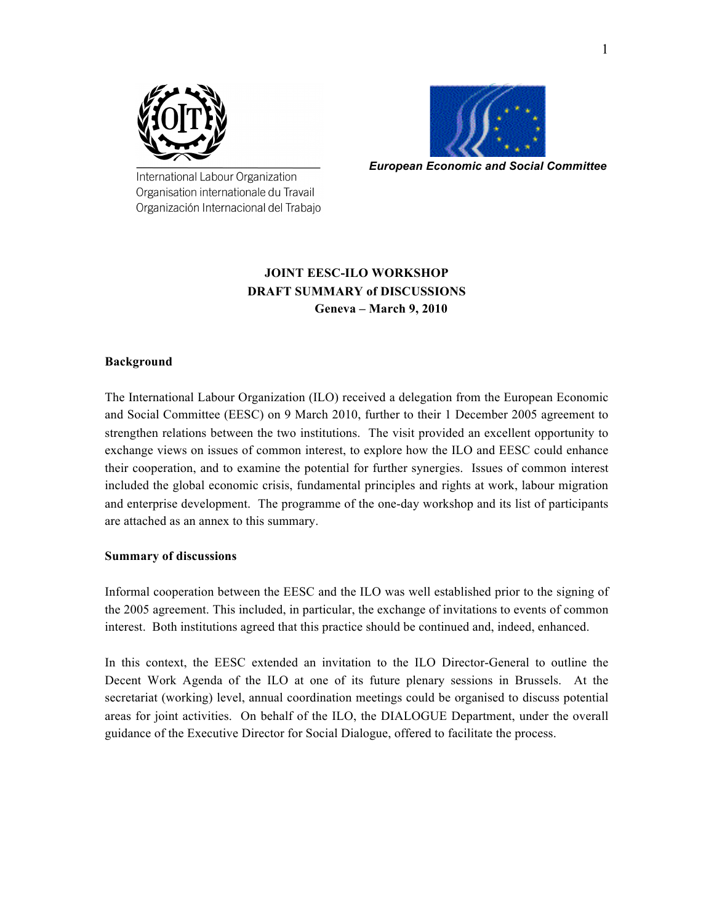



*European Economic and Social Committee*

International Labour Organization Organisation internationale du Travail Organización Internacional del Trabajo

## **JOINT EESC-ILO WORKSHOP DRAFT SUMMARY of DISCUSSIONS Geneva – March 9, 2010**

#### **Background**

The International Labour Organization (ILO) received a delegation from the European Economic and Social Committee (EESC) on 9 March 2010, further to their 1 December 2005 agreement to strengthen relations between the two institutions. The visit provided an excellent opportunity to exchange views on issues of common interest, to explore how the ILO and EESC could enhance their cooperation, and to examine the potential for further synergies. Issues of common interest included the global economic crisis, fundamental principles and rights at work, labour migration and enterprise development. The programme of the one-day workshop and its list of participants are attached as an annex to this summary.

#### **Summary of discussions**

Informal cooperation between the EESC and the ILO was well established prior to the signing of the 2005 agreement. This included, in particular, the exchange of invitations to events of common interest. Both institutions agreed that this practice should be continued and, indeed, enhanced.

In this context, the EESC extended an invitation to the ILO Director-General to outline the Decent Work Agenda of the ILO at one of its future plenary sessions in Brussels. At the secretariat (working) level, annual coordination meetings could be organised to discuss potential areas for joint activities. On behalf of the ILO, the DIALOGUE Department, under the overall guidance of the Executive Director for Social Dialogue, offered to facilitate the process.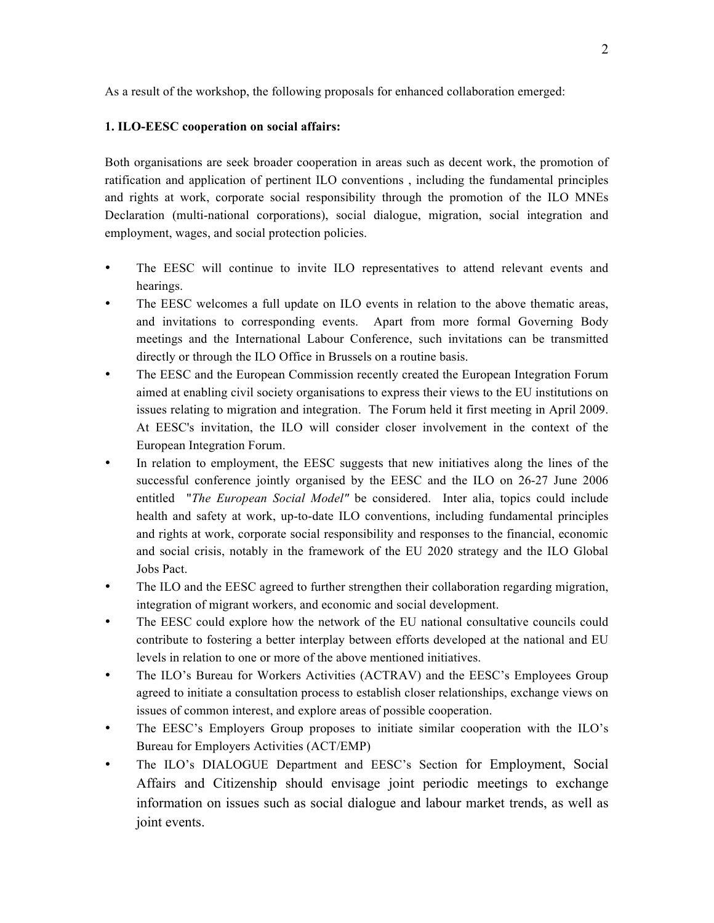As a result of the workshop, the following proposals for enhanced collaboration emerged:

#### **1. ILO-EESC cooperation on social affairs:**

Both organisations are seek broader cooperation in areas such as decent work, the promotion of ratification and application of pertinent ILO conventions , including the fundamental principles and rights at work, corporate social responsibility through the promotion of the ILO MNEs Declaration (multi-national corporations), social dialogue, migration, social integration and employment, wages, and social protection policies.

- The EESC will continue to invite ILO representatives to attend relevant events and hearings.
- The EESC welcomes a full update on ILO events in relation to the above thematic areas, and invitations to corresponding events. Apart from more formal Governing Body meetings and the International Labour Conference, such invitations can be transmitted directly or through the ILO Office in Brussels on a routine basis.
- The EESC and the European Commission recently created the European Integration Forum aimed at enabling civil society organisations to express their views to the EU institutions on issues relating to migration and integration. The Forum held it first meeting in April 2009. At EESC's invitation, the ILO will consider closer involvement in the context of the European Integration Forum.
- In relation to employment, the EESC suggests that new initiatives along the lines of the successful conference jointly organised by the EESC and the ILO on 26-27 June 2006 entitled "*The European Social Model"* be considered. Inter alia, topics could include health and safety at work, up-to-date ILO conventions, including fundamental principles and rights at work, corporate social responsibility and responses to the financial, economic and social crisis, notably in the framework of the EU 2020 strategy and the ILO Global Jobs Pact.
- The ILO and the EESC agreed to further strengthen their collaboration regarding migration, integration of migrant workers, and economic and social development.
- The EESC could explore how the network of the EU national consultative councils could contribute to fostering a better interplay between efforts developed at the national and EU levels in relation to one or more of the above mentioned initiatives.
- The ILO's Bureau for Workers Activities (ACTRAV) and the EESC's Employees Group agreed to initiate a consultation process to establish closer relationships, exchange views on issues of common interest, and explore areas of possible cooperation.
- The EESC's Employers Group proposes to initiate similar cooperation with the ILO's Bureau for Employers Activities (ACT/EMP)
- The ILO's DIALOGUE Department and EESC's Section for Employment, Social Affairs and Citizenship should envisage joint periodic meetings to exchange information on issues such as social dialogue and labour market trends, as well as joint events.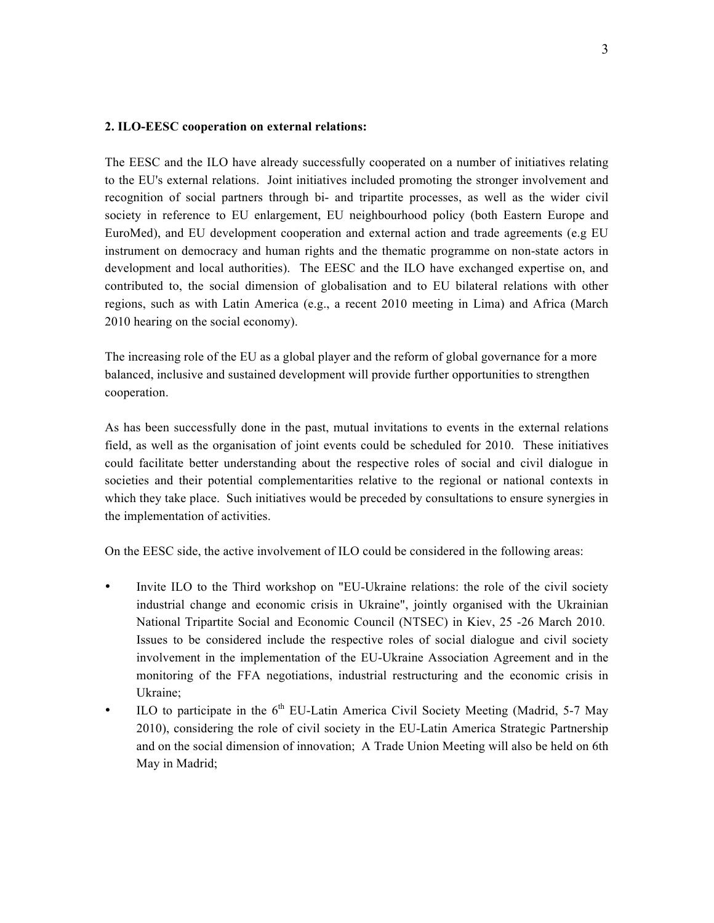#### **2. ILO-EESC cooperation on external relations:**

The EESC and the ILO have already successfully cooperated on a number of initiatives relating to the EU's external relations. Joint initiatives included promoting the stronger involvement and recognition of social partners through bi- and tripartite processes, as well as the wider civil society in reference to EU enlargement, EU neighbourhood policy (both Eastern Europe and EuroMed), and EU development cooperation and external action and trade agreements (e.g EU instrument on democracy and human rights and the thematic programme on non-state actors in development and local authorities). The EESC and the ILO have exchanged expertise on, and contributed to, the social dimension of globalisation and to EU bilateral relations with other regions, such as with Latin America (e.g., a recent 2010 meeting in Lima) and Africa (March 2010 hearing on the social economy).

The increasing role of the EU as a global player and the reform of global governance for a more balanced, inclusive and sustained development will provide further opportunities to strengthen cooperation.

As has been successfully done in the past, mutual invitations to events in the external relations field, as well as the organisation of joint events could be scheduled for 2010. These initiatives could facilitate better understanding about the respective roles of social and civil dialogue in societies and their potential complementarities relative to the regional or national contexts in which they take place. Such initiatives would be preceded by consultations to ensure synergies in the implementation of activities.

On the EESC side, the active involvement of ILO could be considered in the following areas:

- Invite ILO to the Third workshop on "EU-Ukraine relations: the role of the civil society industrial change and economic crisis in Ukraine", jointly organised with the Ukrainian National Tripartite Social and Economic Council (NTSEC) in Kiev, 25 -26 March 2010. Issues to be considered include the respective roles of social dialogue and civil society involvement in the implementation of the EU-Ukraine Association Agreement and in the monitoring of the FFA negotiations, industrial restructuring and the economic crisis in Ukraine;
- ILO to participate in the  $6<sup>th</sup>$  EU-Latin America Civil Society Meeting (Madrid, 5-7 May 2010), considering the role of civil society in the EU-Latin America Strategic Partnership and on the social dimension of innovation; A Trade Union Meeting will also be held on 6th May in Madrid;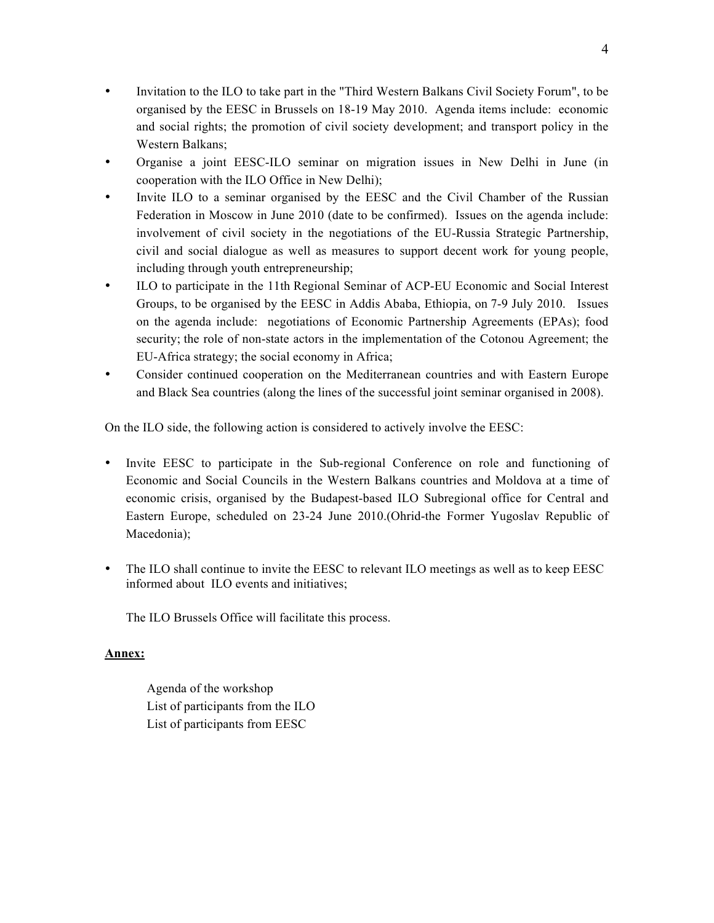- Invitation to the ILO to take part in the "Third Western Balkans Civil Society Forum", to be organised by the EESC in Brussels on 18-19 May 2010. Agenda items include: economic and social rights; the promotion of civil society development; and transport policy in the Western Balkans;
- Organise a joint EESC-ILO seminar on migration issues in New Delhi in June (in cooperation with the ILO Office in New Delhi);
- Invite ILO to a seminar organised by the EESC and the Civil Chamber of the Russian Federation in Moscow in June 2010 (date to be confirmed). Issues on the agenda include: involvement of civil society in the negotiations of the EU-Russia Strategic Partnership, civil and social dialogue as well as measures to support decent work for young people, including through youth entrepreneurship;
- ILO to participate in the 11th Regional Seminar of ACP-EU Economic and Social Interest Groups, to be organised by the EESC in Addis Ababa, Ethiopia, on 7-9 July 2010. Issues on the agenda include: negotiations of Economic Partnership Agreements (EPAs); food security; the role of non-state actors in the implementation of the Cotonou Agreement; the EU-Africa strategy; the social economy in Africa;
- Consider continued cooperation on the Mediterranean countries and with Eastern Europe and Black Sea countries (along the lines of the successful joint seminar organised in 2008).

On the ILO side, the following action is considered to actively involve the EESC:

- Invite EESC to participate in the Sub-regional Conference on role and functioning of Economic and Social Councils in the Western Balkans countries and Moldova at a time of economic crisis, organised by the Budapest-based ILO Subregional office for Central and Eastern Europe, scheduled on 23-24 June 2010.(Ohrid-the Former Yugoslav Republic of Macedonia);
- The ILO shall continue to invite the EESC to relevant ILO meetings as well as to keep EESC informed about ILO events and initiatives;

The ILO Brussels Office will facilitate this process.

#### **Annex:**

Agenda of the workshop List of participants from the ILO List of participants from EESC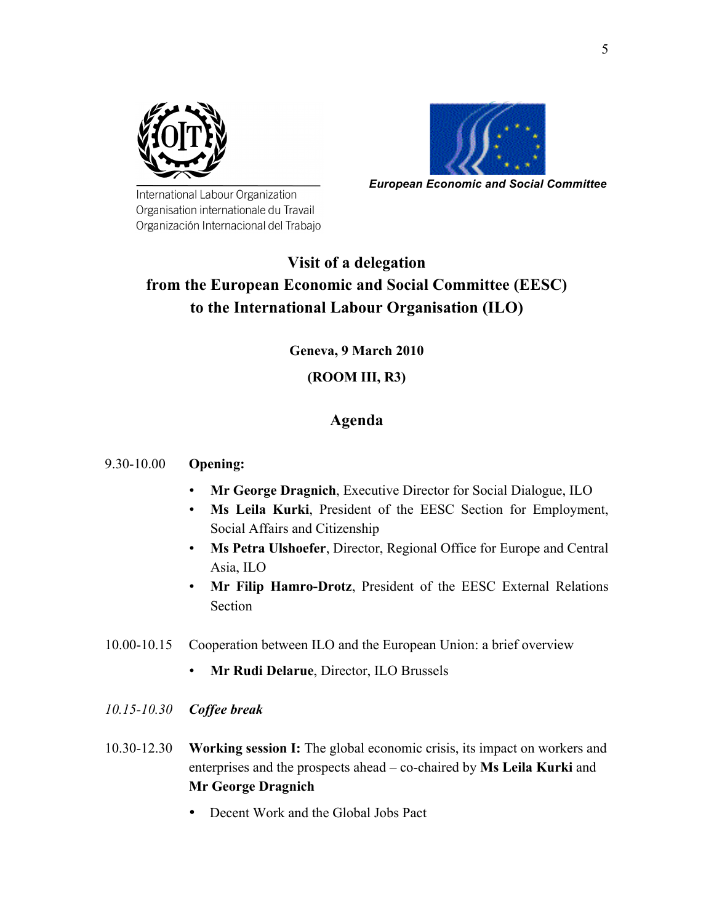



*European Economic and Social Committee*

International Labour Organization Organisation internationale du Travail Organización Internacional del Trabajo

# **Visit of a delegation from the European Economic and Social Committee (EESC) to the International Labour Organisation (ILO)**

## **Geneva, 9 March 2010**

## **(ROOM III, R3)**

# **Agenda**

### 9.30-10.00 **Opening:**

- **Mr George Dragnich**, Executive Director for Social Dialogue, ILO
- **Ms Leila Kurki**, President of the EESC Section for Employment, Social Affairs and Citizenship
- **Ms Petra Ulshoefer**, Director, Regional Office for Europe and Central Asia, ILO
- **Mr Filip Hamro-Drotz**, President of the EESC External Relations Section
- 10.00-10.15 Cooperation between ILO and the European Union: a brief overview
	- **Mr Rudi Delarue**, Director, ILO Brussels
- *10.15-10.30 Coffee break*
- 10.30-12.30 **Working session I:** The global economic crisis, its impact on workers and enterprises and the prospects ahead – co-chaired by **Ms Leila Kurki** and **Mr George Dragnich**
	- Decent Work and the Global Jobs Pact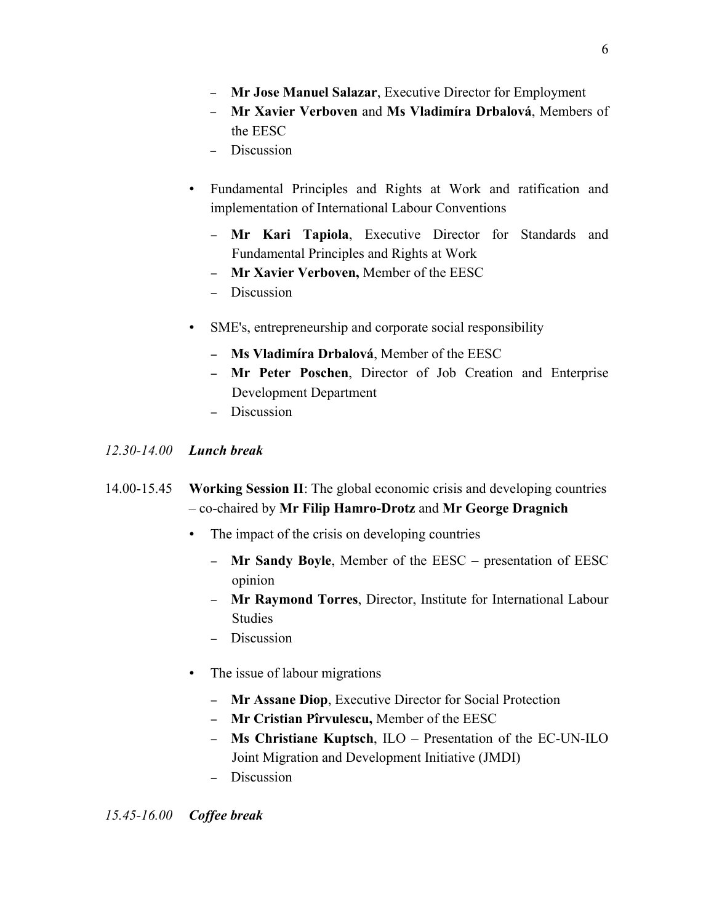- ! **Mr Jose Manuel Salazar**, Executive Director for Employment
- ! **Mr Xavier Verboven** and **Ms Vladimíra Drbalová**, Members of the EESC
- Discussion
- Fundamental Principles and Rights at Work and ratification and implementation of International Labour Conventions
	- ! **Mr Kari Tapiola**, Executive Director for Standards and Fundamental Principles and Rights at Work
	- ! **Mr Xavier Verboven,** Member of the EESC
	- Discussion
- SME's, entrepreneurship and corporate social responsibility
	- ! **Ms Vladimíra Drbalová**, Member of the EESC
	- ! **Mr Peter Poschen**, Director of Job Creation and Enterprise Development Department
	- Discussion

#### *12.30-14.00 Lunch break*

- 14.00-15.45 **Working Session II**: The global economic crisis and developing countries – co-chaired by **Mr Filip Hamro-Drotz** and **Mr George Dragnich**
	- The impact of the crisis on developing countries
		- ! **Mr Sandy Boyle**, Member of the EESC presentation of EESC opinion
		- ! **Mr Raymond Torres**, Director, Institute for International Labour **Studies**
		- Discussion
	- The issue of labour migrations
		- ! **Mr Assane Diop**, Executive Director for Social Protection
		- ! **Mr Cristian Pîrvulescu,** Member of the EESC
		- ! **Ms Christiane Kuptsch**, ILO Presentation of the EC-UN-ILO Joint Migration and Development Initiative (JMDI)
		- Discussion

# *15.45-16.00 Coffee break*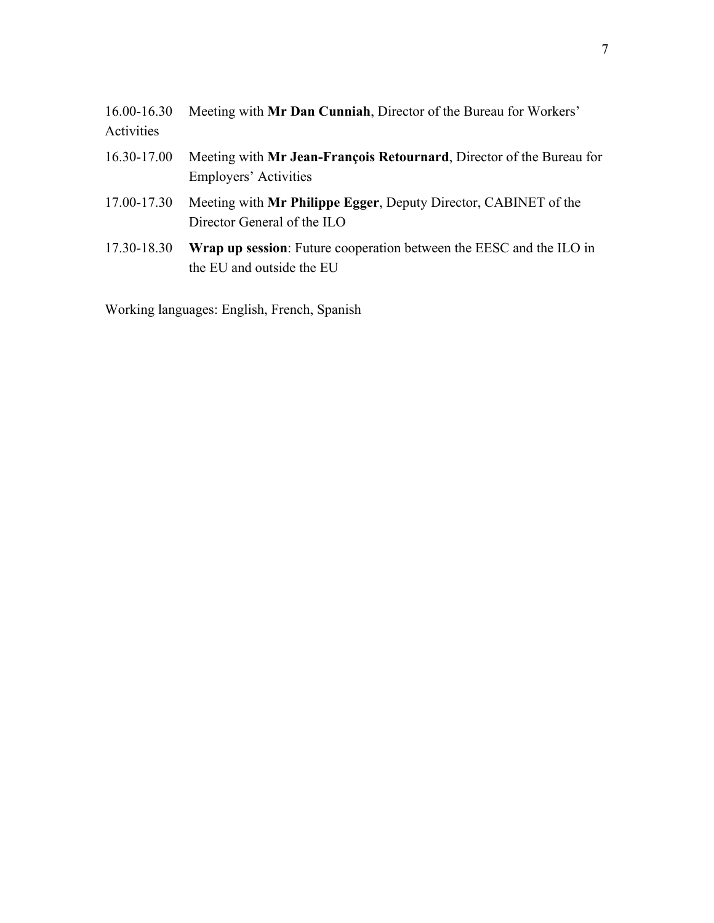| 16.00-16.30<br>Activities | Meeting with Mr Dan Cunniah, Director of the Bureau for Workers'                                 |
|---------------------------|--------------------------------------------------------------------------------------------------|
| 16.30-17.00               | Meeting with Mr Jean-François Retournard, Director of the Bureau for<br>Employers' Activities    |
| 17.00-17.30               | Meeting with Mr Philippe Egger, Deputy Director, CABINET of the<br>Director General of the ILO   |
| 17.30-18.30               | Wrap up session: Future cooperation between the EESC and the ILO in<br>the EU and outside the EU |

Working languages: English, French, Spanish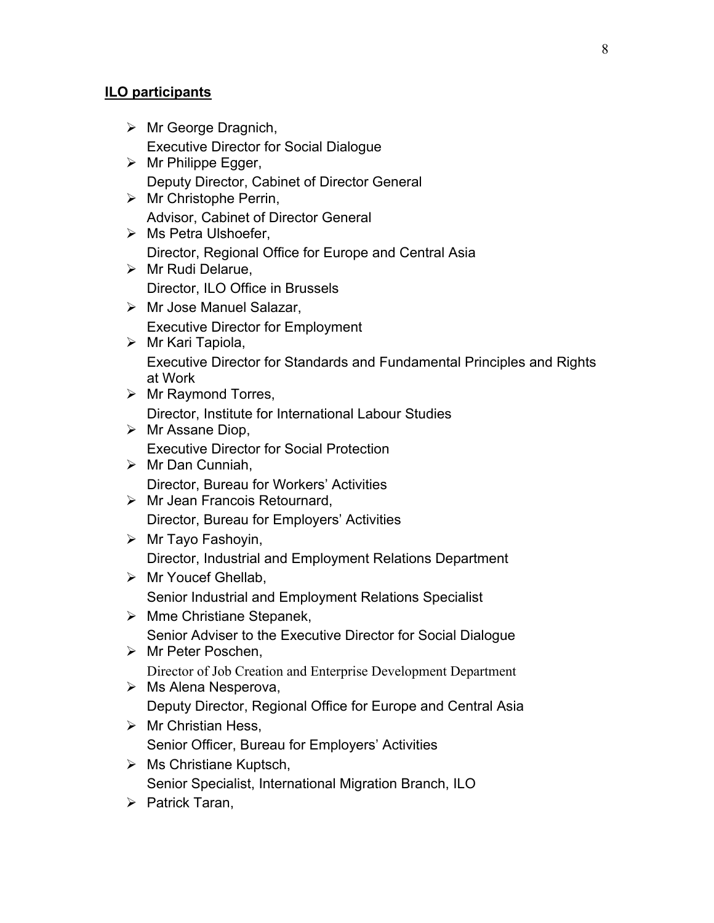## **ILO participants**

- $\triangleright$  Mr George Dragnich, Executive Director for Social Dialogue
- $\triangleright$  Mr Philippe Egger, Deputy Director, Cabinet of Director General
- $\triangleright$  Mr Christophe Perrin, Advisor, Cabinet of Director General
- $\triangleright$  Ms Petra Ulshoefer, Director, Regional Office for Europe and Central Asia
- $\triangleright$  Mr Rudi Delarue, Director, ILO Office in Brussels
- $\triangleright$  Mr Jose Manuel Salazar, Executive Director for Employment
- $\triangleright$  Mr Kari Tapiola, Executive Director for Standards and Fundamental Principles and Rights at Work
- $\triangleright$  Mr Raymond Torres, Director, Institute for International Labour Studies
- $\triangleright$  Mr Assane Diop, Executive Director for Social Protection
- $\triangleright$  Mr Dan Cunniah, Director, Bureau for Workers' Activities
- $\triangleright$  Mr Jean Francois Retournard, Director, Bureau for Employers' Activities
- $\triangleright$  Mr Tayo Fashoyin, Director, Industrial and Employment Relations Department
- $\triangleright$  Mr Youcef Ghellab, Senior Industrial and Employment Relations Specialist
- $\triangleright$  Mme Christiane Stepanek, Senior Adviser to the Executive Director for Social Dialogue
- $\triangleright$  Mr Peter Poschen, Director of Job Creation and Enterprise Development Department
- $\triangleright$  Ms Alena Nesperova, Deputy Director, Regional Office for Europe and Central Asia
- $\triangleright$  Mr Christian Hess, Senior Officer, Bureau for Employers' Activities
- $\triangleright$  Ms Christiane Kuptsch, Senior Specialist, International Migration Branch, ILO
- $\triangleright$  Patrick Taran,